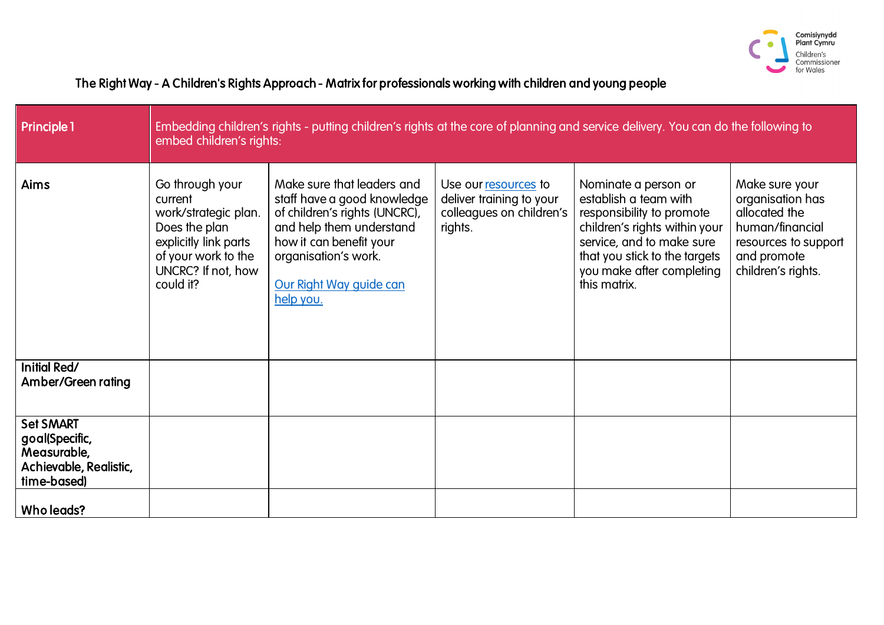

| <b>Principle 1</b>                                                                         | Embedding children's rights - putting children's rights at the core of planning and service delivery. You can do the following to<br>embed children's rights: |                                                                                                                                                                                                                   |                                                                                         |                                                                                                                                                                                                                        |                                                                                                                                     |
|--------------------------------------------------------------------------------------------|---------------------------------------------------------------------------------------------------------------------------------------------------------------|-------------------------------------------------------------------------------------------------------------------------------------------------------------------------------------------------------------------|-----------------------------------------------------------------------------------------|------------------------------------------------------------------------------------------------------------------------------------------------------------------------------------------------------------------------|-------------------------------------------------------------------------------------------------------------------------------------|
| Aims                                                                                       | Go through your<br>current<br>work/strategic plan.<br>Does the plan<br>explicitly link parts<br>of your work to the<br>UNCRC? If not, how<br>could it?        | Make sure that leaders and<br>staff have a good knowledge<br>of children's rights (UNCRC),<br>and help them understand<br>how it can benefit your<br>organisation's work.<br>Our Right Way guide can<br>help you. | Use our resources to<br>deliver training to your<br>colleagues on children's<br>rights. | Nominate a person or<br>establish a team with<br>responsibility to promote<br>children's rights within your<br>service, and to make sure<br>that you stick to the targets<br>you make after completing<br>this matrix. | Make sure your<br>organisation has<br>allocated the<br>human/financial<br>resources to support<br>and promote<br>children's rights. |
| Initial Red/<br>Amber/Green rating                                                         |                                                                                                                                                               |                                                                                                                                                                                                                   |                                                                                         |                                                                                                                                                                                                                        |                                                                                                                                     |
| <b>Set SMART</b><br>goal(Specific,<br>Measurable,<br>Achievable, Realistic,<br>time-based) |                                                                                                                                                               |                                                                                                                                                                                                                   |                                                                                         |                                                                                                                                                                                                                        |                                                                                                                                     |
| Who leads?                                                                                 |                                                                                                                                                               |                                                                                                                                                                                                                   |                                                                                         |                                                                                                                                                                                                                        |                                                                                                                                     |

## The Right Way - A Children's Rights Approach - Matrix for professionals working with children and young people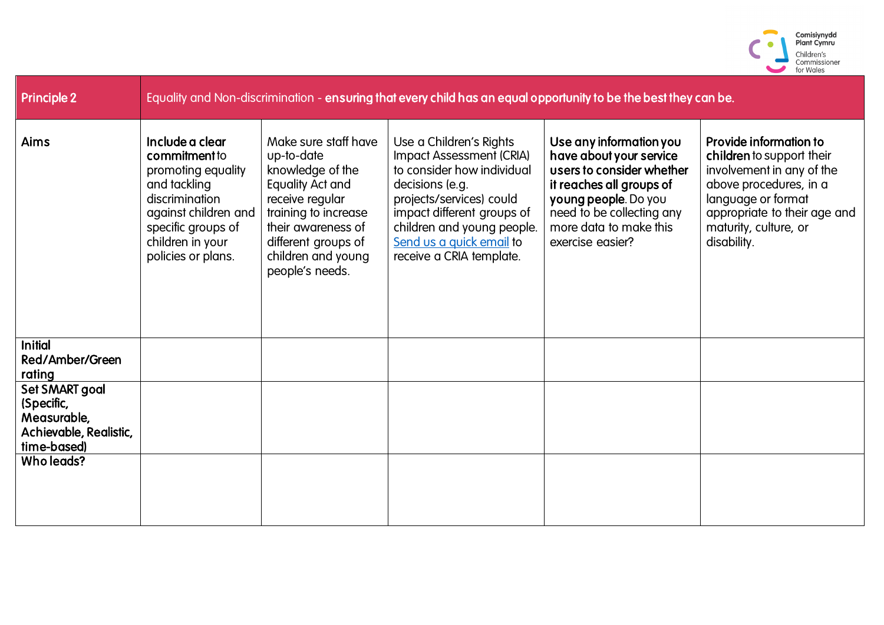

| <b>Principle 2</b>                                                                   |                                                                                                                                                                                  |                                                                                                                                                                                                                    | Equality and Non-discrimination - ensuring that every child has an equal opportunity to be the best they can be.                                                                                                                                     |                                                                                                                                                                                                                |                                                                                                                                                                                                          |
|--------------------------------------------------------------------------------------|----------------------------------------------------------------------------------------------------------------------------------------------------------------------------------|--------------------------------------------------------------------------------------------------------------------------------------------------------------------------------------------------------------------|------------------------------------------------------------------------------------------------------------------------------------------------------------------------------------------------------------------------------------------------------|----------------------------------------------------------------------------------------------------------------------------------------------------------------------------------------------------------------|----------------------------------------------------------------------------------------------------------------------------------------------------------------------------------------------------------|
| <b>Aims</b>                                                                          | Include a clear<br>commitment to<br>promoting equality<br>and tackling<br>discrimination<br>against children and<br>specific groups of<br>children in your<br>policies or plans. | Make sure staff have<br>up-to-date<br>knowledge of the<br><b>Equality Act and</b><br>receive regular<br>training to increase<br>their awareness of<br>different groups of<br>children and young<br>people's needs. | Use a Children's Rights<br>Impact Assessment (CRIA)<br>to consider how individual<br>decisions (e.g.<br>projects/services) could<br>impact different groups of<br>children and young people.<br>Send us a quick email to<br>receive a CRIA template. | Use any information you<br>have about your service<br>users to consider whether<br>it reaches all groups of<br>young people. Do you<br>need to be collecting any<br>more data to make this<br>exercise easier? | Provide information to<br>children to support their<br>involvement in any of the<br>above procedures, in a<br>language or format<br>appropriate to their age and<br>maturity, culture, or<br>disability. |
| <b>Initial</b><br>Red/Amber/Green<br>rating                                          |                                                                                                                                                                                  |                                                                                                                                                                                                                    |                                                                                                                                                                                                                                                      |                                                                                                                                                                                                                |                                                                                                                                                                                                          |
| Set SMART goal<br>(Specific,<br>Measurable,<br>Achievable, Realistic,<br>time-based) |                                                                                                                                                                                  |                                                                                                                                                                                                                    |                                                                                                                                                                                                                                                      |                                                                                                                                                                                                                |                                                                                                                                                                                                          |
| Who leads?                                                                           |                                                                                                                                                                                  |                                                                                                                                                                                                                    |                                                                                                                                                                                                                                                      |                                                                                                                                                                                                                |                                                                                                                                                                                                          |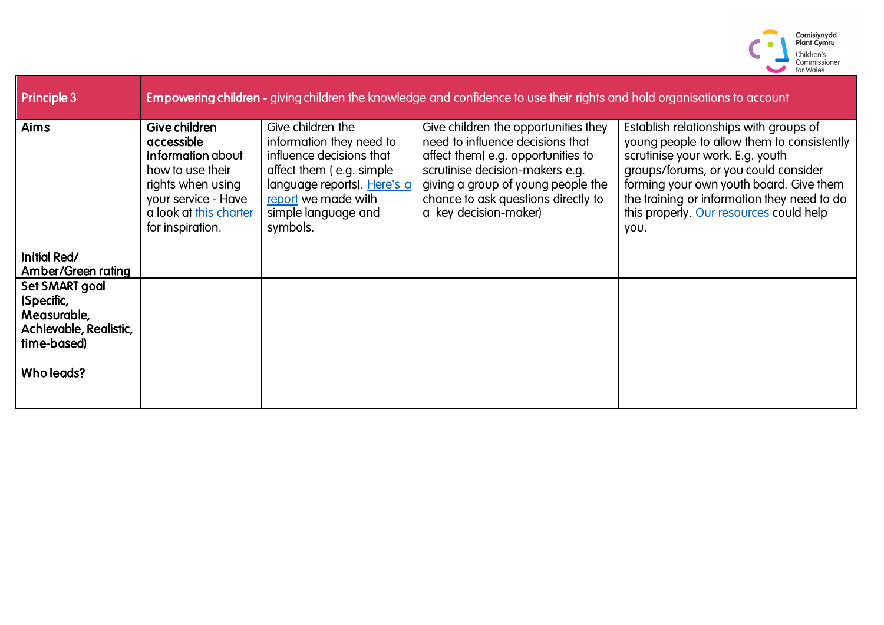

| <b>Principle 3</b>                                                                   |                                                                                                                                                                       |                                                                                                                                                                                                 | <b>Empowering children</b> - giving children the knowledge and confidence to use their rights and hold organisations to account                                                                                                                        |                                                                                                                                                                                                                                                                                                               |
|--------------------------------------------------------------------------------------|-----------------------------------------------------------------------------------------------------------------------------------------------------------------------|-------------------------------------------------------------------------------------------------------------------------------------------------------------------------------------------------|--------------------------------------------------------------------------------------------------------------------------------------------------------------------------------------------------------------------------------------------------------|---------------------------------------------------------------------------------------------------------------------------------------------------------------------------------------------------------------------------------------------------------------------------------------------------------------|
| <b>Aims</b>                                                                          | Give children<br>accessible<br><b>information</b> about<br>how to use their<br>rights when using<br>your service - Have<br>a look at this charter<br>for inspiration. | Give children the<br>information they need to<br>influence decisions that<br>affect them (e.g. simple)<br>language reports). Here's a<br>report we made with<br>simple language and<br>symbols. | Give children the opportunities they<br>need to influence decisions that<br>affect them(e.g. opportunities to<br>scrutinise decision-makers e.g.<br>giving a group of young people the<br>chance to ask questions directly to<br>a key decision-maker) | Establish relationships with groups of<br>young people to allow them to consistently<br>scrutinise your work. E.g. youth<br>groups/forums, or you could consider<br>forming your own youth board. Give them<br>the training or information they need to do<br>this properly. Our resources could help<br>you. |
| Initial Red/<br>Amber/Green rating                                                   |                                                                                                                                                                       |                                                                                                                                                                                                 |                                                                                                                                                                                                                                                        |                                                                                                                                                                                                                                                                                                               |
| Set SMART goal<br>(Specific,<br>Measurable,<br>Achievable, Realistic,<br>time-based) |                                                                                                                                                                       |                                                                                                                                                                                                 |                                                                                                                                                                                                                                                        |                                                                                                                                                                                                                                                                                                               |
| Who leads?                                                                           |                                                                                                                                                                       |                                                                                                                                                                                                 |                                                                                                                                                                                                                                                        |                                                                                                                                                                                                                                                                                                               |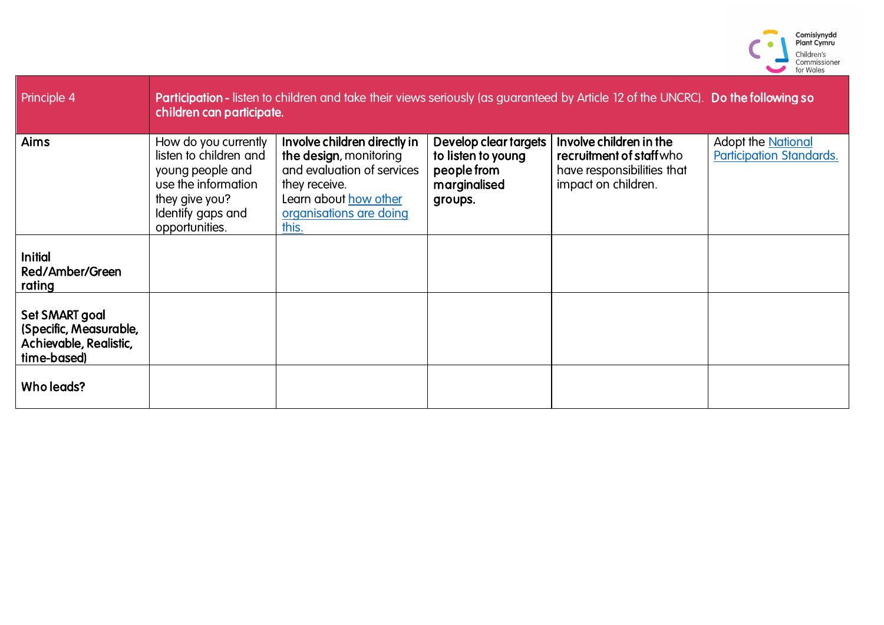

| Principle 4                                                                       | Participation - listen to children and take their views seriously (as guaranteed by Article 12 of the UNCRC). Do the following so<br>children can participate. |                                                                                                                                                                    |                                                                                       |                                                                                                          |                                                              |
|-----------------------------------------------------------------------------------|----------------------------------------------------------------------------------------------------------------------------------------------------------------|--------------------------------------------------------------------------------------------------------------------------------------------------------------------|---------------------------------------------------------------------------------------|----------------------------------------------------------------------------------------------------------|--------------------------------------------------------------|
| Aims                                                                              | How do you currently<br>listen to children and<br>young people and<br>use the information<br>they give you?<br>Identify gaps and<br>opportunities.             | Involve children directly in<br>the design, monitoring<br>and evaluation of services<br>they receive.<br>Learn about how other<br>organisations are doing<br>this. | Develop clear targets<br>to listen to young<br>people from<br>marginalised<br>groups. | Involve children in the<br>recruitment of staff who<br>have responsibilities that<br>impact on children. | <b>Adopt the National</b><br><b>Participation Standards.</b> |
| <b>Initial</b><br>Red/Amber/Green<br>rating                                       |                                                                                                                                                                |                                                                                                                                                                    |                                                                                       |                                                                                                          |                                                              |
| Set SMART goal<br>(Specific, Measurable,<br>Achievable, Realistic,<br>time-based) |                                                                                                                                                                |                                                                                                                                                                    |                                                                                       |                                                                                                          |                                                              |
| Who leads?                                                                        |                                                                                                                                                                |                                                                                                                                                                    |                                                                                       |                                                                                                          |                                                              |